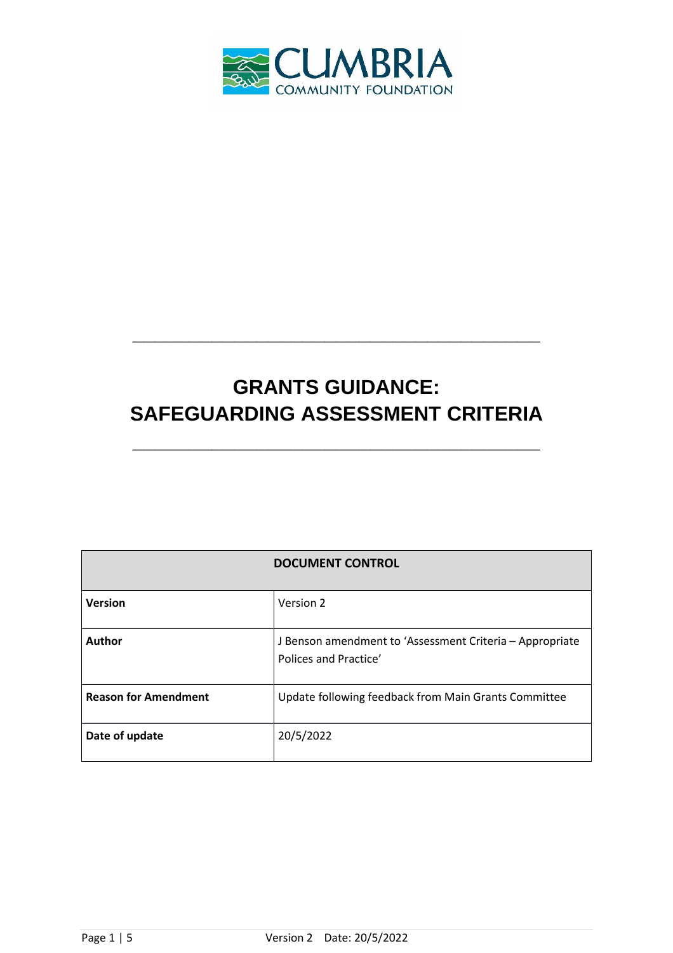

## **GRANTS GUIDANCE: SAFEGUARDING ASSESSMENT CRITERIA**

**\_\_\_\_\_\_\_\_\_\_\_\_\_\_\_\_\_\_\_\_\_\_\_\_\_\_\_\_\_\_\_\_\_\_\_\_**

**\_\_\_\_\_\_\_\_\_\_\_\_\_\_\_\_\_\_\_\_\_\_\_\_\_\_\_\_\_\_\_\_\_\_\_\_**

| <b>DOCUMENT CONTROL</b>     |                                                                                   |
|-----------------------------|-----------------------------------------------------------------------------------|
| <b>Version</b>              | Version 2                                                                         |
| <b>Author</b>               | J Benson amendment to 'Assessment Criteria - Appropriate<br>Polices and Practice' |
| <b>Reason for Amendment</b> | Update following feedback from Main Grants Committee                              |
| Date of update              | 20/5/2022                                                                         |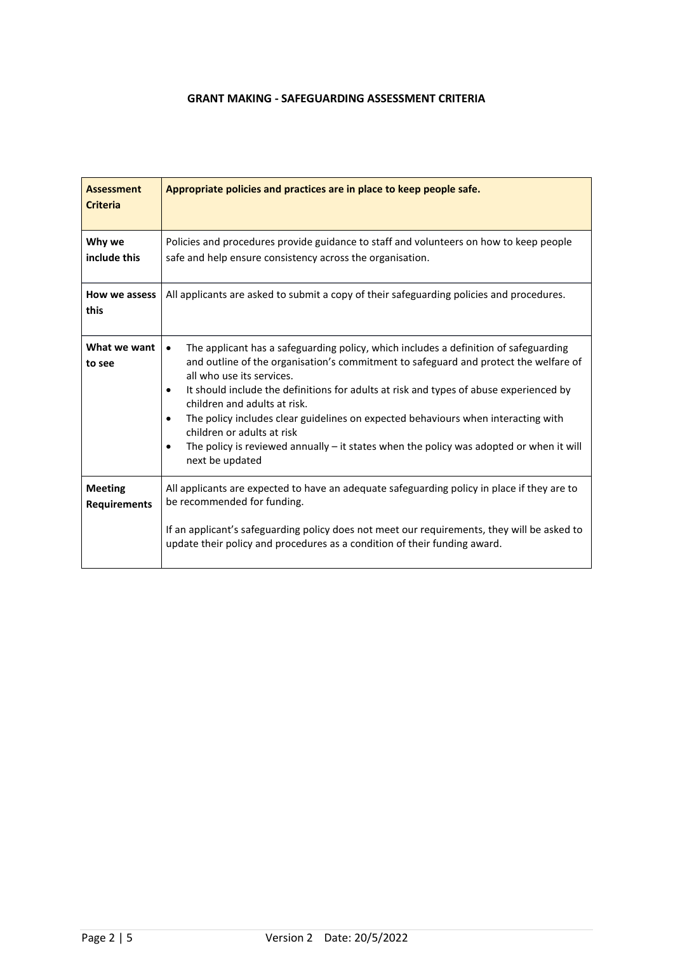## **GRANT MAKING - SAFEGUARDING ASSESSMENT CRITERIA**

| <b>Assessment</b><br><b>Criteria</b>  | Appropriate policies and practices are in place to keep people safe.                                                                                                                                                                                                                                                                                                                                                                                                                                                                                                                                        |
|---------------------------------------|-------------------------------------------------------------------------------------------------------------------------------------------------------------------------------------------------------------------------------------------------------------------------------------------------------------------------------------------------------------------------------------------------------------------------------------------------------------------------------------------------------------------------------------------------------------------------------------------------------------|
| Why we<br>include this                | Policies and procedures provide guidance to staff and volunteers on how to keep people<br>safe and help ensure consistency across the organisation.                                                                                                                                                                                                                                                                                                                                                                                                                                                         |
| How we assess<br>this                 | All applicants are asked to submit a copy of their safeguarding policies and procedures.                                                                                                                                                                                                                                                                                                                                                                                                                                                                                                                    |
| What we want<br>to see                | The applicant has a safeguarding policy, which includes a definition of safeguarding<br>$\bullet$<br>and outline of the organisation's commitment to safeguard and protect the welfare of<br>all who use its services.<br>It should include the definitions for adults at risk and types of abuse experienced by<br>$\bullet$<br>children and adults at risk.<br>The policy includes clear guidelines on expected behaviours when interacting with<br>children or adults at risk<br>The policy is reviewed annually - it states when the policy was adopted or when it will<br>$\bullet$<br>next be updated |
| <b>Meeting</b><br><b>Requirements</b> | All applicants are expected to have an adequate safeguarding policy in place if they are to<br>be recommended for funding.<br>If an applicant's safeguarding policy does not meet our requirements, they will be asked to<br>update their policy and procedures as a condition of their funding award.                                                                                                                                                                                                                                                                                                      |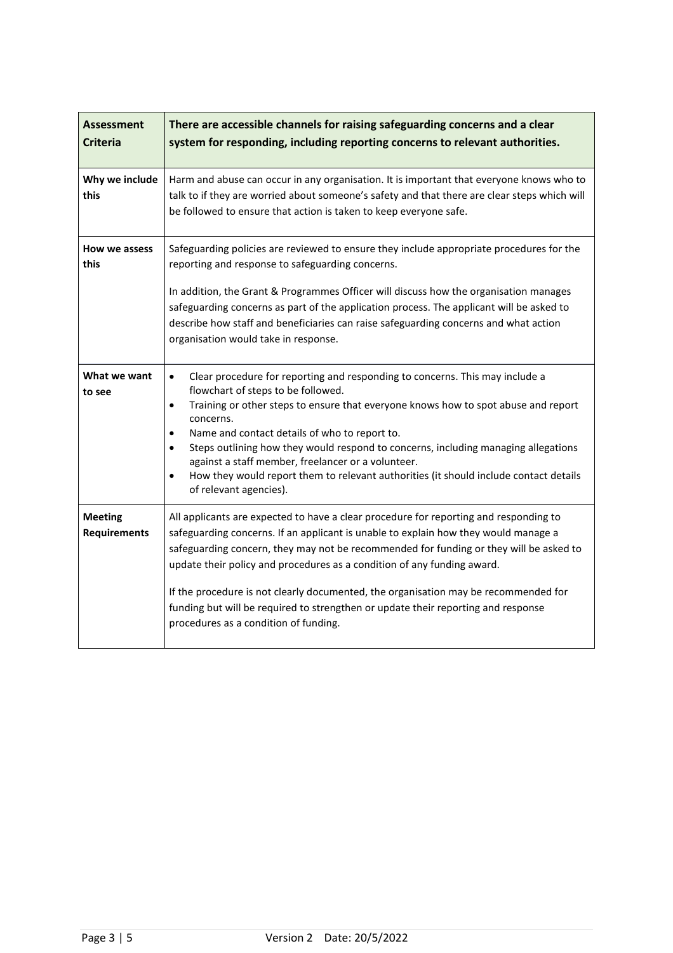| <b>Assessment</b><br><b>Criteria</b>  | There are accessible channels for raising safeguarding concerns and a clear<br>system for responding, including reporting concerns to relevant authorities.                                                                                                                                                                                                                                                                                                                                                                                                                                            |
|---------------------------------------|--------------------------------------------------------------------------------------------------------------------------------------------------------------------------------------------------------------------------------------------------------------------------------------------------------------------------------------------------------------------------------------------------------------------------------------------------------------------------------------------------------------------------------------------------------------------------------------------------------|
| Why we include<br>this                | Harm and abuse can occur in any organisation. It is important that everyone knows who to<br>talk to if they are worried about someone's safety and that there are clear steps which will<br>be followed to ensure that action is taken to keep everyone safe.                                                                                                                                                                                                                                                                                                                                          |
| How we assess<br>this                 | Safeguarding policies are reviewed to ensure they include appropriate procedures for the<br>reporting and response to safeguarding concerns.<br>In addition, the Grant & Programmes Officer will discuss how the organisation manages<br>safeguarding concerns as part of the application process. The applicant will be asked to<br>describe how staff and beneficiaries can raise safeguarding concerns and what action<br>organisation would take in response.                                                                                                                                      |
| What we want<br>to see                | Clear procedure for reporting and responding to concerns. This may include a<br>$\bullet$<br>flowchart of steps to be followed.<br>Training or other steps to ensure that everyone knows how to spot abuse and report<br>$\bullet$<br>concerns.<br>Name and contact details of who to report to.<br>$\bullet$<br>Steps outlining how they would respond to concerns, including managing allegations<br>$\bullet$<br>against a staff member, freelancer or a volunteer.<br>How they would report them to relevant authorities (it should include contact details<br>$\bullet$<br>of relevant agencies). |
| <b>Meeting</b><br><b>Requirements</b> | All applicants are expected to have a clear procedure for reporting and responding to<br>safeguarding concerns. If an applicant is unable to explain how they would manage a<br>safeguarding concern, they may not be recommended for funding or they will be asked to<br>update their policy and procedures as a condition of any funding award.<br>If the procedure is not clearly documented, the organisation may be recommended for<br>funding but will be required to strengthen or update their reporting and response<br>procedures as a condition of funding.                                 |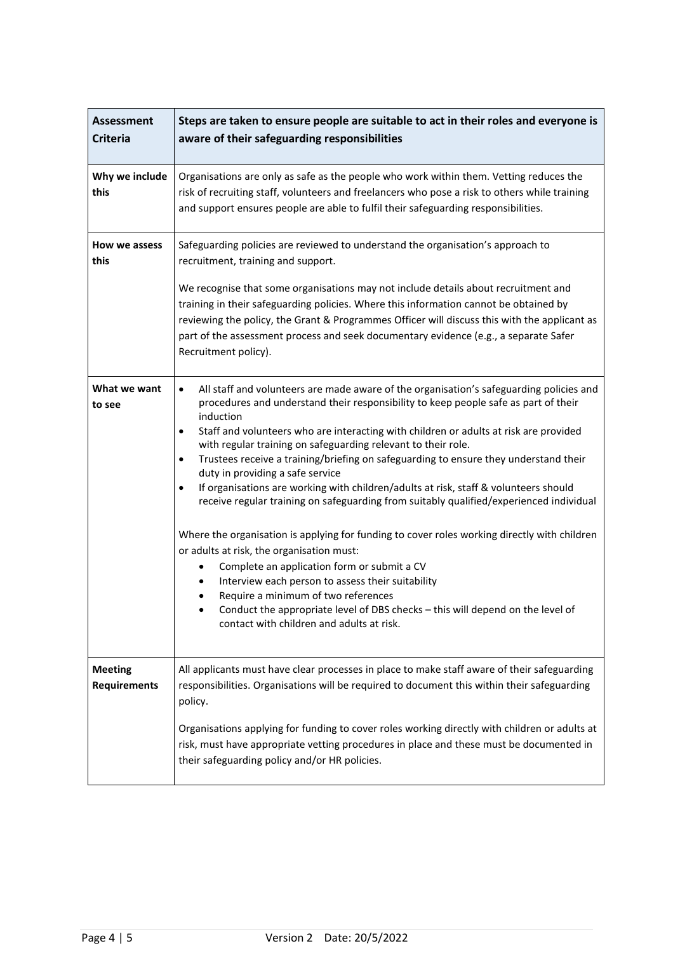| <b>Assessment</b><br><b>Criteria</b>  | Steps are taken to ensure people are suitable to act in their roles and everyone is<br>aware of their safeguarding responsibilities                                                                                                                                                                                                                                                                                                                                                                                                                                                                                                                                                                                                                                                                                                                                                                                                                                                                                                                                                                                                                  |
|---------------------------------------|------------------------------------------------------------------------------------------------------------------------------------------------------------------------------------------------------------------------------------------------------------------------------------------------------------------------------------------------------------------------------------------------------------------------------------------------------------------------------------------------------------------------------------------------------------------------------------------------------------------------------------------------------------------------------------------------------------------------------------------------------------------------------------------------------------------------------------------------------------------------------------------------------------------------------------------------------------------------------------------------------------------------------------------------------------------------------------------------------------------------------------------------------|
| Why we include<br>this                | Organisations are only as safe as the people who work within them. Vetting reduces the<br>risk of recruiting staff, volunteers and freelancers who pose a risk to others while training<br>and support ensures people are able to fulfil their safeguarding responsibilities.                                                                                                                                                                                                                                                                                                                                                                                                                                                                                                                                                                                                                                                                                                                                                                                                                                                                        |
| How we assess<br>this                 | Safeguarding policies are reviewed to understand the organisation's approach to<br>recruitment, training and support.                                                                                                                                                                                                                                                                                                                                                                                                                                                                                                                                                                                                                                                                                                                                                                                                                                                                                                                                                                                                                                |
|                                       | We recognise that some organisations may not include details about recruitment and<br>training in their safeguarding policies. Where this information cannot be obtained by<br>reviewing the policy, the Grant & Programmes Officer will discuss this with the applicant as<br>part of the assessment process and seek documentary evidence (e.g., a separate Safer<br>Recruitment policy).                                                                                                                                                                                                                                                                                                                                                                                                                                                                                                                                                                                                                                                                                                                                                          |
| What we want<br>to see                | All staff and volunteers are made aware of the organisation's safeguarding policies and<br>$\bullet$<br>procedures and understand their responsibility to keep people safe as part of their<br>induction<br>Staff and volunteers who are interacting with children or adults at risk are provided<br>$\bullet$<br>with regular training on safeguarding relevant to their role.<br>Trustees receive a training/briefing on safeguarding to ensure they understand their<br>$\bullet$<br>duty in providing a safe service<br>If organisations are working with children/adults at risk, staff & volunteers should<br>$\bullet$<br>receive regular training on safeguarding from suitably qualified/experienced individual<br>Where the organisation is applying for funding to cover roles working directly with children<br>or adults at risk, the organisation must:<br>Complete an application form or submit a CV<br>٠<br>Interview each person to assess their suitability<br>Require a minimum of two references<br>Conduct the appropriate level of DBS checks - this will depend on the level of<br>contact with children and adults at risk. |
| <b>Meeting</b><br><b>Requirements</b> | All applicants must have clear processes in place to make staff aware of their safeguarding<br>responsibilities. Organisations will be required to document this within their safeguarding<br>policy.                                                                                                                                                                                                                                                                                                                                                                                                                                                                                                                                                                                                                                                                                                                                                                                                                                                                                                                                                |
|                                       | Organisations applying for funding to cover roles working directly with children or adults at<br>risk, must have appropriate vetting procedures in place and these must be documented in<br>their safeguarding policy and/or HR policies.                                                                                                                                                                                                                                                                                                                                                                                                                                                                                                                                                                                                                                                                                                                                                                                                                                                                                                            |